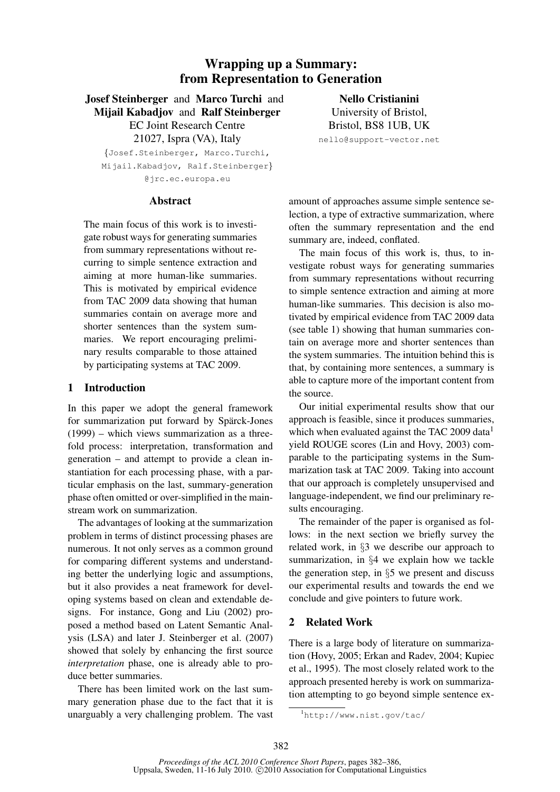# Wrapping up a Summary: from Representation to Generation

Josef Steinberger and Marco Turchi and Mijail Kabadjov and Ralf Steinberger EC Joint Research Centre 21027, Ispra (VA), Italy

{Josef.Steinberger, Marco.Turchi, Mijail.Kabadjov, Ralf.Steinberger} @jrc.ec.europa.eu

Nello Cristianini University of Bristol, Bristol, BS8 1UB, UK

nello@support-vector.net

### Abstract

The main focus of this work is to investigate robust ways for generating summaries from summary representations without recurring to simple sentence extraction and aiming at more human-like summaries. This is motivated by empirical evidence from TAC 2009 data showing that human summaries contain on average more and shorter sentences than the system summaries. We report encouraging preliminary results comparable to those attained by participating systems at TAC 2009.

# 1 Introduction

In this paper we adopt the general framework for summarization put forward by Spärck-Jones (1999) – which views summarization as a threefold process: interpretation, transformation and generation – and attempt to provide a clean instantiation for each processing phase, with a particular emphasis on the last, summary-generation phase often omitted or over-simplified in the mainstream work on summarization.

The advantages of looking at the summarization problem in terms of distinct processing phases are numerous. It not only serves as a common ground for comparing different systems and understanding better the underlying logic and assumptions, but it also provides a neat framework for developing systems based on clean and extendable designs. For instance, Gong and Liu (2002) proposed a method based on Latent Semantic Analysis (LSA) and later J. Steinberger et al. (2007) showed that solely by enhancing the first source *interpretation* phase, one is already able to produce better summaries.

There has been limited work on the last summary generation phase due to the fact that it is unarguably a very challenging problem. The vast

amount of approaches assume simple sentence selection, a type of extractive summarization, where often the summary representation and the end summary are, indeed, conflated.

The main focus of this work is, thus, to investigate robust ways for generating summaries from summary representations without recurring to simple sentence extraction and aiming at more human-like summaries. This decision is also motivated by empirical evidence from TAC 2009 data (see table 1) showing that human summaries contain on average more and shorter sentences than the system summaries. The intuition behind this is that, by containing more sentences, a summary is able to capture more of the important content from the source.

Our initial experimental results show that our approach is feasible, since it produces summaries, which when evaluated against the TAC 2009 data<sup>1</sup> yield ROUGE scores (Lin and Hovy, 2003) comparable to the participating systems in the Summarization task at TAC 2009. Taking into account that our approach is completely unsupervised and language-independent, we find our preliminary results encouraging.

The remainder of the paper is organised as follows: in the next section we briefly survey the related work, in §3 we describe our approach to summarization, in §4 we explain how we tackle the generation step, in  $\S5$  we present and discuss our experimental results and towards the end we conclude and give pointers to future work.

## 2 Related Work

There is a large body of literature on summarization (Hovy, 2005; Erkan and Radev, 2004; Kupiec et al., 1995). The most closely related work to the approach presented hereby is work on summarization attempting to go beyond simple sentence ex-

<sup>1</sup>http://www.nist.gov/tac/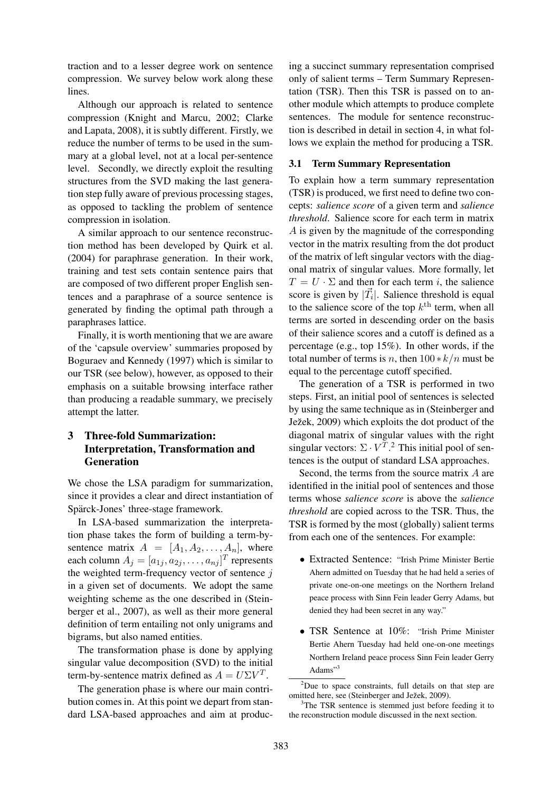traction and to a lesser degree work on sentence compression. We survey below work along these lines.

Although our approach is related to sentence compression (Knight and Marcu, 2002; Clarke and Lapata, 2008), it is subtly different. Firstly, we reduce the number of terms to be used in the summary at a global level, not at a local per-sentence level. Secondly, we directly exploit the resulting structures from the SVD making the last generation step fully aware of previous processing stages, as opposed to tackling the problem of sentence compression in isolation.

A similar approach to our sentence reconstruction method has been developed by Quirk et al. (2004) for paraphrase generation. In their work, training and test sets contain sentence pairs that are composed of two different proper English sentences and a paraphrase of a source sentence is generated by finding the optimal path through a paraphrases lattice.

Finally, it is worth mentioning that we are aware of the 'capsule overview' summaries proposed by Boguraev and Kennedy (1997) which is similar to our TSR (see below), however, as opposed to their emphasis on a suitable browsing interface rather than producing a readable summary, we precisely attempt the latter.

# 3 Three-fold Summarization: Interpretation, Transformation and Generation

We chose the LSA paradigm for summarization, since it provides a clear and direct instantiation of Spärck-Jones' three-stage framework.

In LSA-based summarization the interpretation phase takes the form of building a term-bysentence matrix  $A = [A_1, A_2, \ldots, A_n]$ , where each column  $A_j = [a_{1j}, a_{2j}, \dots, a_{nj}]^T$  represents the weighted term-frequency vector of sentence  $j$ in a given set of documents. We adopt the same weighting scheme as the one described in (Steinberger et al., 2007), as well as their more general definition of term entailing not only unigrams and bigrams, but also named entities.

The transformation phase is done by applying singular value decomposition (SVD) to the initial term-by-sentence matrix defined as  $A = U\Sigma V^T$ .

The generation phase is where our main contribution comes in. At this point we depart from standard LSA-based approaches and aim at produc-

ing a succinct summary representation comprised only of salient terms – Term Summary Representation (TSR). Then this TSR is passed on to another module which attempts to produce complete sentences. The module for sentence reconstruction is described in detail in section 4, in what follows we explain the method for producing a TSR.

### 3.1 Term Summary Representation

To explain how a term summary representation (TSR) is produced, we first need to define two concepts: *salience score* of a given term and *salience threshold*. Salience score for each term in matrix A is given by the magnitude of the corresponding vector in the matrix resulting from the dot product of the matrix of left singular vectors with the diagonal matrix of singular values. More formally, let  $T = U \cdot \Sigma$  and then for each term i, the salience score is given by  $|\vec{T}_i|$ . Salience threshold is equal to the salience score of the top  $k^{\text{th}}$  term, when all terms are sorted in descending order on the basis of their salience scores and a cutoff is defined as a percentage (e.g., top 15%). In other words, if the total number of terms is n, then  $100 * k/n$  must be equal to the percentage cutoff specified.

The generation of a TSR is performed in two steps. First, an initial pool of sentences is selected by using the same technique as in (Steinberger and Ježek, 2009) which exploits the dot product of the diagonal matrix of singular values with the right singular vectors:  $\Sigma \cdot V^T$ .<sup>2</sup> This initial pool of sentences is the output of standard LSA approaches.

Second, the terms from the source matrix A are identified in the initial pool of sentences and those terms whose *salience score* is above the *salience threshold* are copied across to the TSR. Thus, the TSR is formed by the most (globally) salient terms from each one of the sentences. For example:

- Extracted Sentence: "Irish Prime Minister Bertie Ahern admitted on Tuesday that he had held a series of private one-on-one meetings on the Northern Ireland peace process with Sinn Fein leader Gerry Adams, but denied they had been secret in any way."
- TSR Sentence at 10%: "Irish Prime Minister Bertie Ahern Tuesday had held one-on-one meetings Northern Ireland peace process Sinn Fein leader Gerry Adams"<sup>3</sup>

 $2$ Due to space constraints, full details on that step are omitted here, see (Steinberger and Ježek, 2009).

The TSR sentence is stemmed just before feeding it to the reconstruction module discussed in the next section.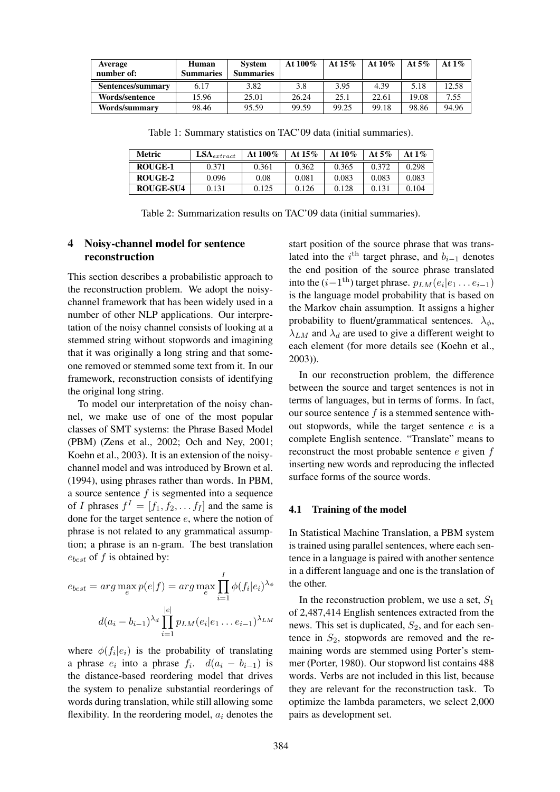| Average<br>number of: | Human<br><b>Summaries</b> | <b>System</b><br><b>Summaries</b> | At $100\%$ | At $15\%$ | At $10\%$ | At $5\%$ | At $1\%$ |
|-----------------------|---------------------------|-----------------------------------|------------|-----------|-----------|----------|----------|
| Sentences/summary     | 6.17                      | 3.82                              | 3.8        | 3.95      | 4.39      | 5.18     | 12.58    |
| Words/sentence        | 15.96                     | 25.01                             | 26.24      | 25.1      | 22.61     | 19.08    | 7.55     |
| Words/summary         | 98.46                     | 95.59                             | 99.59      | 99.25     | 99.18     | 98.86    | 94.96    |

Table 1: Summary statistics on TAC'09 data (initial summaries).

| Metric           | $LSA_{extract}$ | At $100\%$ | At $15\%$ | At $10\%$ | At 5% | At $1\%$ |
|------------------|-----------------|------------|-----------|-----------|-------|----------|
| ROUGE-1          | 0.371           | 0.361      | 0.362     | 0.365     | 0.372 | 0.298    |
| ROUGE-2          | 0.096           | 0.08       | 0.081     | 0.083     | 0.083 | 0.083    |
| <b>ROUGE-SU4</b> | 0.131           | 0.125      | 0.126     | 0.128     | 0.131 | 0.104    |

Table 2: Summarization results on TAC'09 data (initial summaries).

# 4 Noisy-channel model for sentence reconstruction

This section describes a probabilistic approach to the reconstruction problem. We adopt the noisychannel framework that has been widely used in a number of other NLP applications. Our interpretation of the noisy channel consists of looking at a stemmed string without stopwords and imagining that it was originally a long string and that someone removed or stemmed some text from it. In our framework, reconstruction consists of identifying the original long string.

To model our interpretation of the noisy channel, we make use of one of the most popular classes of SMT systems: the Phrase Based Model (PBM) (Zens et al., 2002; Och and Ney, 2001; Koehn et al., 2003). It is an extension of the noisychannel model and was introduced by Brown et al. (1994), using phrases rather than words. In PBM, a source sentence  $f$  is segmented into a sequence of *I* phrases  $f^I = [f_1, f_2, \dots f_I]$  and the same is done for the target sentence e, where the notion of phrase is not related to any grammatical assumption; a phrase is an n-gram. The best translation  $e_{best}$  of f is obtained by:

$$
e_{best} = arg \max_{e} p(e|f) = arg \max_{e} \prod_{i=1}^{I} \phi(f_i|e_i)^{\lambda_{\phi}}
$$

$$
d(a_i - b_{i-1})^{\lambda_d} \prod_{i=1}^{|e|} p_{LM}(e_i|e_1 \dots e_{i-1})^{\lambda_{LM}}
$$

where  $\phi(f_i|e_i)$  is the probability of translating a phrase  $e_i$  into a phrase  $f_i$ .  $d(a_i - b_{i-1})$  is the distance-based reordering model that drives the system to penalize substantial reorderings of words during translation, while still allowing some flexibility. In the reordering model,  $a_i$  denotes the start position of the source phrase that was translated into the  $i$ <sup>th</sup> target phrase, and  $b_{i-1}$  denotes the end position of the source phrase translated into the  $(i-1$ <sup>th</sup>) target phrase.  $p_{LM}(e_i|e_1 \ldots e_{i-1})$ is the language model probability that is based on the Markov chain assumption. It assigns a higher probability to fluent/grammatical sentences.  $\lambda_{\phi}$ ,  $\lambda_{LM}$  and  $\lambda_d$  are used to give a different weight to each element (for more details see (Koehn et al., 2003)).

In our reconstruction problem, the difference between the source and target sentences is not in terms of languages, but in terms of forms. In fact, our source sentence  $f$  is a stemmed sentence without stopwords, while the target sentence e is a complete English sentence. "Translate" means to reconstruct the most probable sentence  $e$  given  $f$ inserting new words and reproducing the inflected surface forms of the source words.

### 4.1 Training of the model

In Statistical Machine Translation, a PBM system is trained using parallel sentences, where each sentence in a language is paired with another sentence in a different language and one is the translation of the other.

In the reconstruction problem, we use a set,  $S_1$ of 2,487,414 English sentences extracted from the news. This set is duplicated,  $S_2$ , and for each sentence in  $S_2$ , stopwords are removed and the remaining words are stemmed using Porter's stemmer (Porter, 1980). Our stopword list contains 488 words. Verbs are not included in this list, because they are relevant for the reconstruction task. To optimize the lambda parameters, we select 2,000 pairs as development set.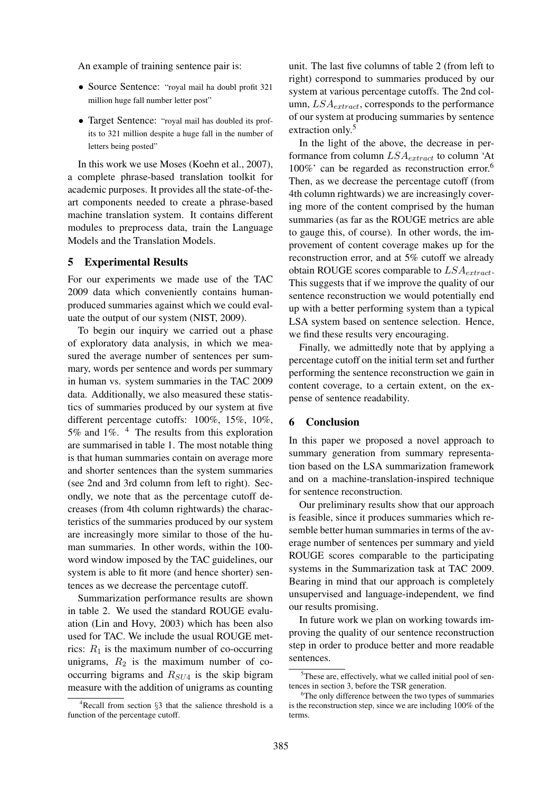An example of training sentence pair is:

- Source Sentence: "royal mail ha doubl profit 321 million huge fall number letter post"
- Target Sentence: "royal mail has doubled its profits to 321 million despite a huge fall in the number of letters being posted"

In this work we use Moses (Koehn et al., 2007), a complete phrase-based translation toolkit for academic purposes. It provides all the state-of-theart components needed to create a phrase-based machine translation system. It contains different modules to preprocess data, train the Language Models and the Translation Models.

## 5 Experimental Results

For our experiments we made use of the TAC 2009 data which conveniently contains humanproduced summaries against which we could evaluate the output of our system (NIST, 2009).

To begin our inquiry we carried out a phase of exploratory data analysis, in which we measured the average number of sentences per summary, words per sentence and words per summary in human vs. system summaries in the TAC 2009 data. Additionally, we also measured these statistics of summaries produced by our system at five different percentage cutoffs: 100%, 15%, 10%, 5% and 1%. <sup>4</sup> The results from this exploration are summarised in table 1. The most notable thing is that human summaries contain on average more and shorter sentences than the system summaries (see 2nd and 3rd column from left to right). Secondly, we note that as the percentage cutoff decreases (from 4th column rightwards) the characteristics of the summaries produced by our system are increasingly more similar to those of the human summaries. In other words, within the 100 word window imposed by the TAC guidelines, our system is able to fit more (and hence shorter) sentences as we decrease the percentage cutoff.

Summarization performance results are shown in table 2. We used the standard ROUGE evaluation (Lin and Hovy, 2003) which has been also used for TAC. We include the usual ROUGE metrics:  $R_1$  is the maximum number of co-occurring unigrams,  $R_2$  is the maximum number of cooccurring bigrams and  $R_{SU4}$  is the skip bigram measure with the addition of unigrams as counting

 $4$ Recall from section  $\S$ 3 that the salience threshold is a function of the percentage cutoff.

unit. The last five columns of table 2 (from left to right) correspond to summaries produced by our system at various percentage cutoffs. The 2nd column,  $LSA_{extract}$ , corresponds to the performance of our system at producing summaries by sentence extraction only.<sup>5</sup>

In the light of the above, the decrease in performance from column  $LSA_{extract}$  to column 'At 100%' can be regarded as reconstruction error.<sup>6</sup> Then, as we decrease the percentage cutoff (from 4th column rightwards) we are increasingly covering more of the content comprised by the human summaries (as far as the ROUGE metrics are able to gauge this, of course). In other words, the improvement of content coverage makes up for the reconstruction error, and at 5% cutoff we already obtain ROUGE scores comparable to  $LSA_{extract}$ . This suggests that if we improve the quality of our sentence reconstruction we would potentially end up with a better performing system than a typical LSA system based on sentence selection. Hence, we find these results very encouraging.

Finally, we admittedly note that by applying a percentage cutoff on the initial term set and further performing the sentence reconstruction we gain in content coverage, to a certain extent, on the expense of sentence readability.

### 6 Conclusion

In this paper we proposed a novel approach to summary generation from summary representation based on the LSA summarization framework and on a machine-translation-inspired technique for sentence reconstruction.

Our preliminary results show that our approach is feasible, since it produces summaries which resemble better human summaries in terms of the average number of sentences per summary and yield ROUGE scores comparable to the participating systems in the Summarization task at TAC 2009. Bearing in mind that our approach is completely unsupervised and language-independent, we find our results promising.

In future work we plan on working towards improving the quality of our sentence reconstruction step in order to produce better and more readable sentences.

 $5$ These are, effectively, what we called initial pool of sentences in section 3, before the TSR generation.

<sup>&</sup>lt;sup>6</sup>The only difference between the two types of summaries is the reconstruction step, since we are including 100% of the terms.